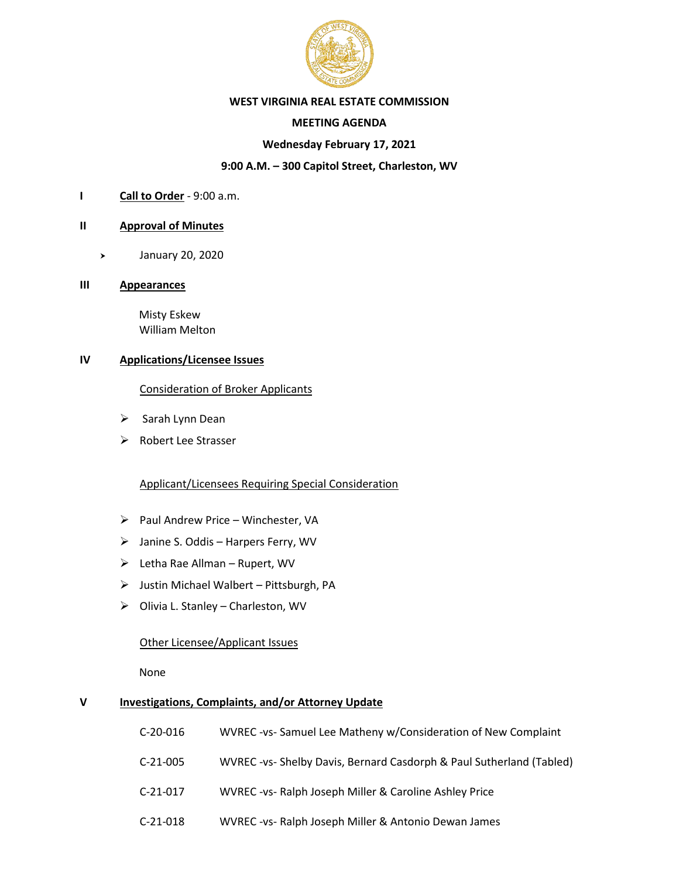

## **WEST VIRGINIA REAL ESTATE COMMISSION**

# **MEETING AGENDA**

# **Wednesday February 17, 2021**

# **9:00 A.M. – 300 Capitol Street, Charleston, WV**

**I Call to Order** - 9:00 a.m.

### **II Approval of Minutes**

January 20, 2020

#### **III Appearances**

 Misty Eskew William Melton

# **IV Applications/Licensee Issues**

Consideration of Broker Applicants

- ➢ Sarah Lynn Dean
- ➢ Robert Lee Strasser

# Applicant/Licensees Requiring Special Consideration

- ➢ Paul Andrew Price Winchester, VA
- ➢ Janine S. Oddis Harpers Ferry, WV
- ➢ Letha Rae Allman Rupert, WV
- ➢ Justin Michael Walbert Pittsburgh, PA
- ➢ Olivia L. Stanley Charleston, WV

### Other Licensee/Applicant Issues

None

# **V Investigations, Complaints, and/or Attorney Update**

| C-20-016 | WVREC-vs-Samuel Lee Matheny w/Consideration of New Complaint        |
|----------|---------------------------------------------------------------------|
| C-21-005 | WVREC-vs- Shelby Davis, Bernard Casdorph & Paul Sutherland (Tabled) |
| C-21-017 | WVREC-vs- Ralph Joseph Miller & Caroline Ashley Price               |
| C-21-018 | WVREC-vs- Ralph Joseph Miller & Antonio Dewan James                 |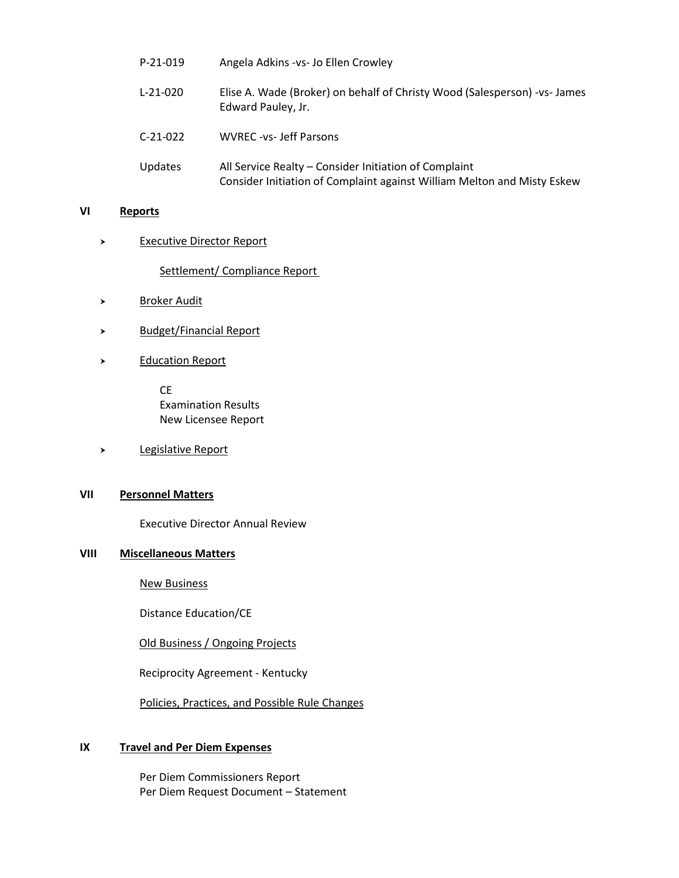| $P-21-019$     | Angela Adkins - vs- Jo Ellen Crowley                                                                                             |
|----------------|----------------------------------------------------------------------------------------------------------------------------------|
| $L-21-020$     | Elise A. Wade (Broker) on behalf of Christy Wood (Salesperson) - vs- James<br>Edward Pauley, Jr.                                 |
| $C-21-022$     | <b>WVREC-vs-Jeff Parsons</b>                                                                                                     |
| <b>Updates</b> | All Service Realty - Consider Initiation of Complaint<br>Consider Initiation of Complaint against William Melton and Misty Eskew |

#### **VI Reports**

> Executive Director Report

Settlement/ Compliance Report

- Broker Audit
- > Budget/Financial Report
- > Education Report

CE Examination Results New Licensee Report

Legislative Report

# **VII Personnel Matters**

Executive Director Annual Review

#### **VIII Miscellaneous Matters**

New Business

Distance Education/CE

Old Business / Ongoing Projects

Reciprocity Agreement - Kentucky

Policies, Practices, and Possible Rule Changes

# **IX Travel and Per Diem Expenses**

Per Diem Commissioners Report Per Diem Request Document – Statement